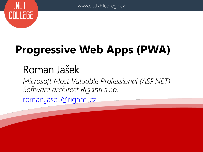

#### **Progressive Web Apps (PWA)**

#### Roman Jašek

*Microsoft Most Valuable Professional (ASP.NET) Software architect Riganti s.r.o.* [roman.jasek@riganti.cz](mailto:tomas.herceg@riganti.cz)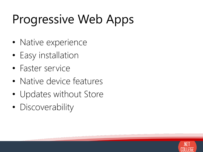#### Progressive Web Apps

- Native experience
- Easy installation
- Faster service
- Native device features
- Updates without Store
- Discoverability

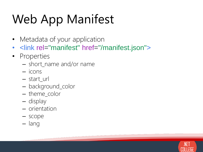# Web App Manifest

- Metadata of your application
- < link rel="manifest" href="/manifest.json">
- Properties
	- short\_name and/or name
	- icons
	- start\_url
	- background\_color
	- theme\_color
	- display
	- orientation
	- scope
	- lang

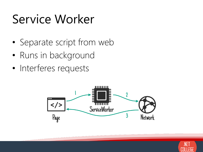#### Service Worker

- Separate script from web
- Runs in background
- Interferes requests



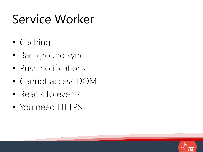#### Service Worker

- Caching
- Background sync
- Push notifications
- Cannot access DOM
- Reacts to events
- You need HTTPS

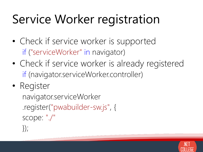### Service Worker registration

- Check if service worker is supported if ("serviceWorker" in navigator)
- Check if service worker is already registered if (navigator.serviceWorker.controller)

#### • Register navigator.serviceWorker .register("pwabuilder-sw.js", { scope: "./"  $\})$ ;

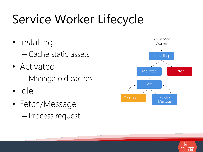# Service Worker Lifecycle

- Installing – Cache static assets
- Activated – Manage old caches
- Idle
- Fetch/Message – Process request



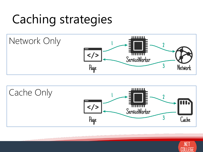#### Caching strategies





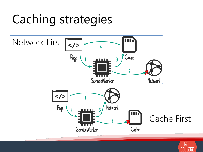#### Caching strategies



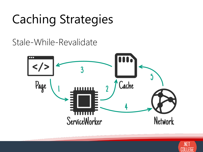# Caching Strategies

Stale-While-Revalidate



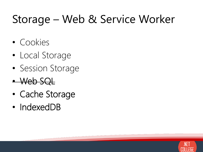#### Storage – Web & Service Worker

- Cookies
- Local Storage
- Session Storage
- Web SQL
- Cache Storage
- IndexedDB

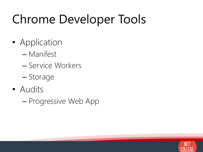### Chrome Developer Tools

- Application
	- Manifest
	- Service Workers
	- Storage
- Audits
	- Progressive Web App

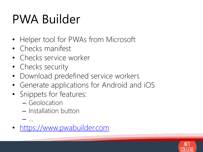#### PWA Builder

- Helper tool for PWAs from Microsoft
- Checks manifest
- Checks service worker
- Checks security
- Download predefined service workers
- Generate applications for Android and iOS
- Snippets for features:
	- Geolocation

– …

- Installation button
- [https://www.pwabuilder.com](https://www.pwabuilder.com/)

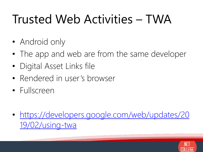#### Trusted Web Activities – TWA

- Android only
- The app and web are from the same developer
- Digital Asset Links file
- Rendered in user's browser
- Fullscreen
- [https://developers.google.com/web/updates/20](https://developers.google.com/web/updates/2019/02/using-twa) 19/02/using-twa

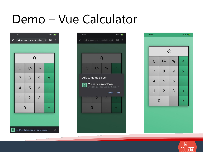#### Demo – Vue Calculator

|   | 11:06                                           | $\frac{1}{2}$ 4G $\frac{1}{2}$ |   |   |  |  |
|---|-------------------------------------------------|--------------------------------|---|---|--|--|
| ⇧ | $\circledR$<br>ः<br>a wa-demo.azurewebsites.net |                                |   |   |  |  |
|   |                                                 |                                |   |   |  |  |
|   | $\overline{0}$                                  |                                |   |   |  |  |
|   | $\mathbf C$                                     | $+/-$                          | % | ÷ |  |  |
|   | 7                                               | 8                              | 9 | X |  |  |
|   | $\overline{4}$                                  | 5                              | 6 |   |  |  |
|   | 1                                               | $\overline{2}$                 | 3 |   |  |  |
|   | $\overline{0}$                                  |                                |   |   |  |  |
|   |                                                 |                                |   |   |  |  |
|   |                                                 |                                |   |   |  |  |



| all 4G a (91)<br>11:06 |                |   |                         |  |  |  |
|------------------------|----------------|---|-------------------------|--|--|--|
|                        |                |   |                         |  |  |  |
| $-3$                   |                |   |                         |  |  |  |
| $\mathbf C$            | $+/-$          | % |                         |  |  |  |
| $\overline{7}$         | 8              | 9 | $\overline{\mathsf{x}}$ |  |  |  |
| $\overline{4}$         | 5              | 6 |                         |  |  |  |
|                        | $\overline{2}$ | 3 |                         |  |  |  |
|                        | $\overline{0}$ |   |                         |  |  |  |
|                        |                |   |                         |  |  |  |



Add Vue Calculator to Home screen

 $\times$